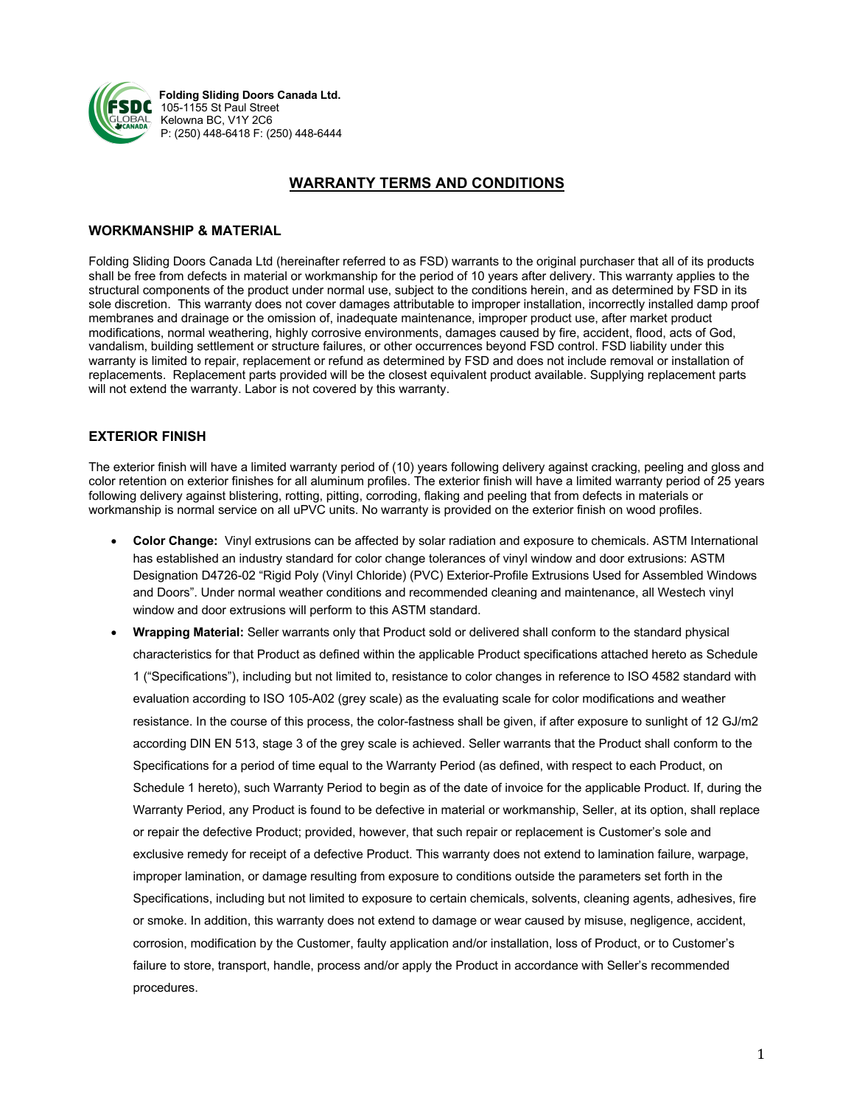

 **Folding Sliding Doors Canada Ltd.** 105-1155 St Paul Street Kelowna BC, V1Y 2C6 P: (250) 448-6418 F: (250) 448-6444

# **WARRANTY TERMS AND CONDITIONS**

#### **WORKMANSHIP & MATERIAL**

Folding Sliding Doors Canada Ltd (hereinafter referred to as FSD) warrants to the original purchaser that all of its products shall be free from defects in material or workmanship for the period of 10 years after delivery. This warranty applies to the structural components of the product under normal use, subject to the conditions herein, and as determined by FSD in its sole discretion. This warranty does not cover damages attributable to improper installation, incorrectly installed damp proof membranes and drainage or the omission of, inadequate maintenance, improper product use, after market product modifications, normal weathering, highly corrosive environments, damages caused by fire, accident, flood, acts of God, vandalism, building settlement or structure failures, or other occurrences beyond FSD control. FSD liability under this warranty is limited to repair, replacement or refund as determined by FSD and does not include removal or installation of replacements. Replacement parts provided will be the closest equivalent product available. Supplying replacement parts will not extend the warranty. Labor is not covered by this warranty.

#### **EXTERIOR FINISH**

The exterior finish will have a limited warranty period of (10) years following delivery against cracking, peeling and gloss and color retention on exterior finishes for all aluminum profiles. The exterior finish will have a limited warranty period of 25 years following delivery against blistering, rotting, pitting, corroding, flaking and peeling that from defects in materials or workmanship is normal service on all uPVC units. No warranty is provided on the exterior finish on wood profiles.

- **Color Change:** Vinyl extrusions can be affected by solar radiation and exposure to chemicals. ASTM International has established an industry standard for color change tolerances of vinyl window and door extrusions: ASTM Designation D4726-02 "Rigid Poly (Vinyl Chloride) (PVC) Exterior-Profile Extrusions Used for Assembled Windows and Doors". Under normal weather conditions and recommended cleaning and maintenance, all Westech vinyl window and door extrusions will perform to this ASTM standard.
	- **Wrapping Material:** Seller warrants only that Product sold or delivered shall conform to the standard physical characteristics for that Product as defined within the applicable Product specifications attached hereto as Schedule 1 ("Specifications"), including but not limited to, resistance to color changes in reference to ISO 4582 standard with evaluation according to ISO 105-A02 (grey scale) as the evaluating scale for color modifications and weather resistance. In the course of this process, the color-fastness shall be given, if after exposure to sunlight of 12 GJ/m2 according DIN EN 513, stage 3 of the grey scale is achieved. Seller warrants that the Product shall conform to the Specifications for a period of time equal to the Warranty Period (as defined, with respect to each Product, on Schedule 1 hereto), such Warranty Period to begin as of the date of invoice for the applicable Product. If, during the Warranty Period, any Product is found to be defective in material or workmanship, Seller, at its option, shall replace or repair the defective Product; provided, however, that such repair or replacement is Customer's sole and exclusive remedy for receipt of a defective Product. This warranty does not extend to lamination failure, warpage, improper lamination, or damage resulting from exposure to conditions outside the parameters set forth in the Specifications, including but not limited to exposure to certain chemicals, solvents, cleaning agents, adhesives, fire or smoke. In addition, this warranty does not extend to damage or wear caused by misuse, negligence, accident, corrosion, modification by the Customer, faulty application and/or installation, loss of Product, or to Customer's failure to store, transport, handle, process and/or apply the Product in accordance with Seller's recommended procedures.